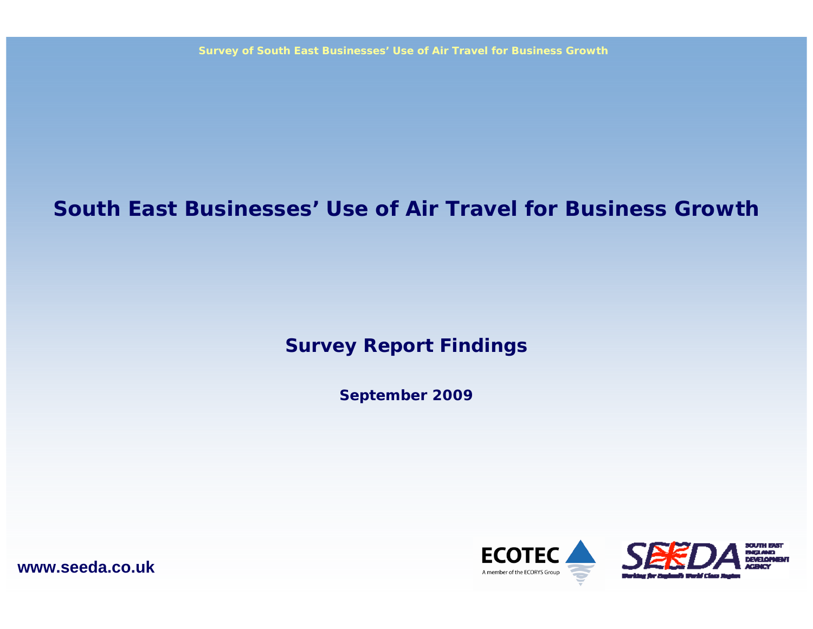### **South East Businesses' Use of Air Travel for Business Growth**

### **Survey Report Findings**

**September 2009**



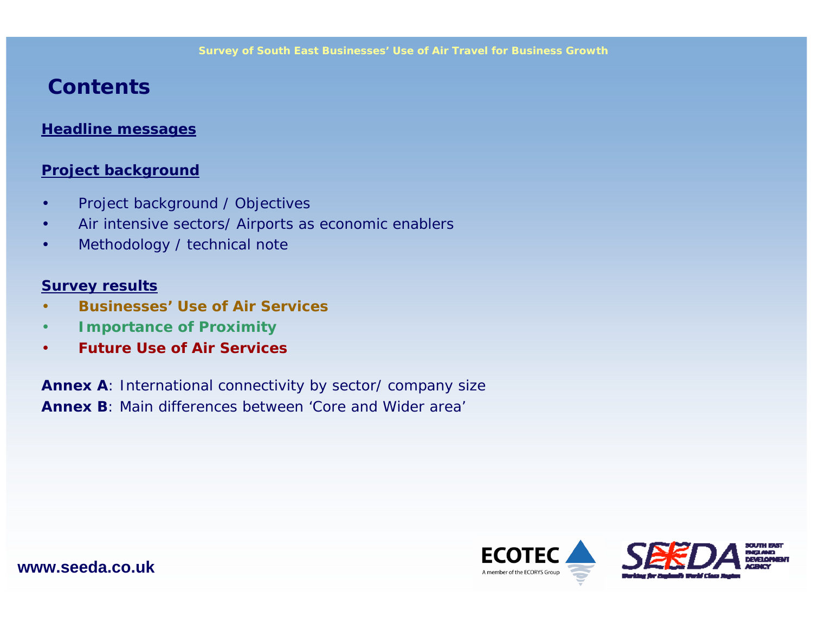### **Contents**

#### **Headline messages**

#### **Project background**

- Project background / Objectives
- Air intensive sectors/ Airports as economic enablers
- Methodology / technical note

#### **Survey results**

- **Businesses' Use of Air Services**
- **Importance of Proximity**
- **Future Use of Air Services**

**Annex A**: International connectivity by sector/ company size **Annex B**: Main differences between 'Core and Wider area'

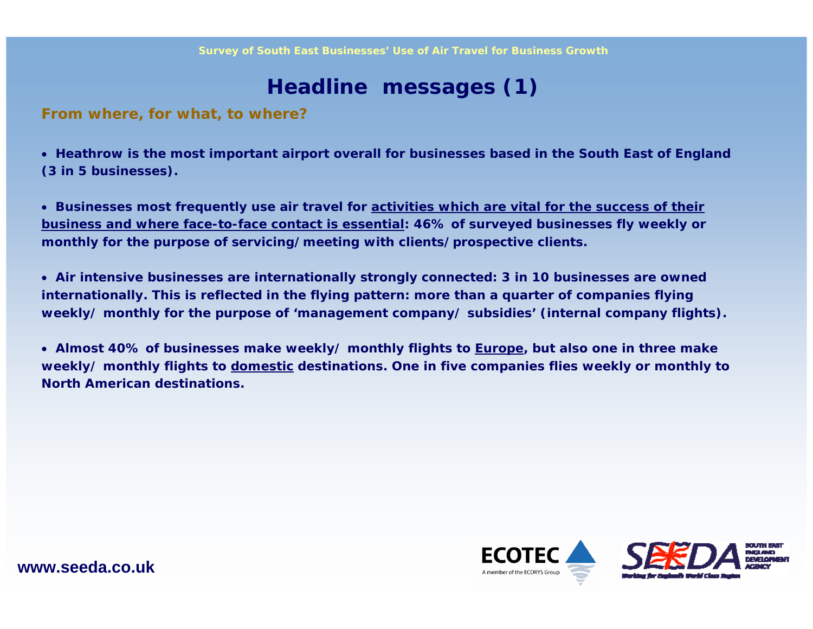### **Headline messages (1)**

**From where, for what, to where?**

• **Heathrow is the most important airport overall for businesses based in the South East of England (3 in 5 businesses).** 

• **Businesses most frequently use air travel for activities which are vital for the success of their business and where face-to-face contact is essential: 46% of surveyed businesses fly weekly or monthly for the purpose of servicing/meeting with clients/prospective clients.** 

• **Air intensive businesses are internationally strongly connected: 3 in 10 businesses are owned internationally. This is reflected in the flying pattern: more than a quarter of companies flying weekly/ monthly for the purpose of 'management company/ subsidies' (internal company flights).** 

• **Almost 40% of businesses make weekly/ monthly flights to Europe, but also one in three make**  weekly/ monthly flights to domestic destinations. One in five companies flies weekly or monthly to **North American destinations.**

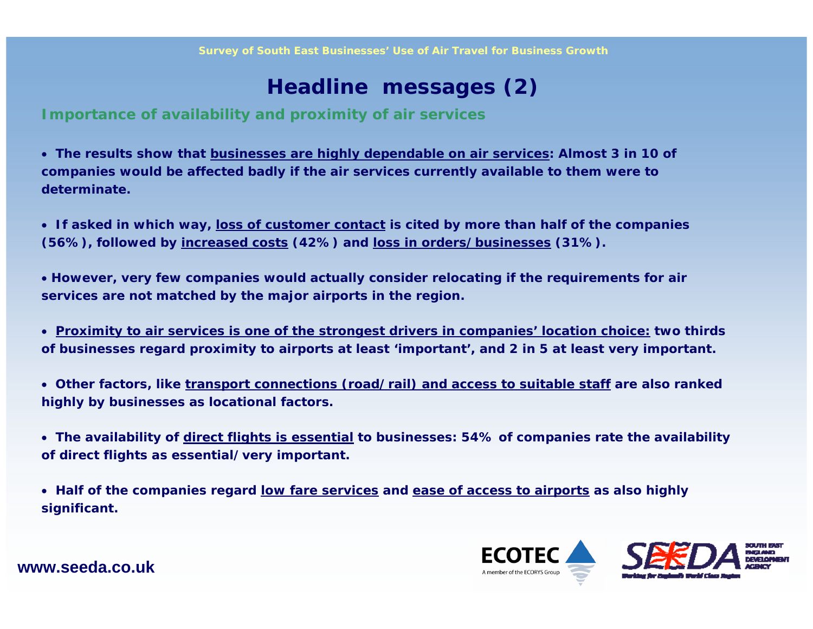### **Headline messages (2)**

**Importance of availability and proximity of air services**

• **The results show that businesses are highly dependable on air services: Almost 3 in 10 of companies would be affected badly if the air services currently available to them were to determinate.** 

• **If asked in which way, loss of customer contact is cited by more than half of the companies (56%), followed by increased costs (42%) and loss in orders/businesses (31%).**

• **However, very few companies would actually consider relocating if the requirements for air services are not matched by the major airports in the region.**

• **Proximity to air services is one of the strongest drivers in companies' location choice: two thirds of businesses regard proximity to airports at least 'important', and 2 in 5 at least very important.**

• **Other factors, like transport connections (road/rail) and access to suitable staff are also ranked highly by businesses as locational factors.**

• **The availability of direct flights is essential to businesses: 54% of companies rate the availability of direct flights as essential/very important.**

• **Half of the companies regard low fare services and ease of access to airports as also highly significant.** 

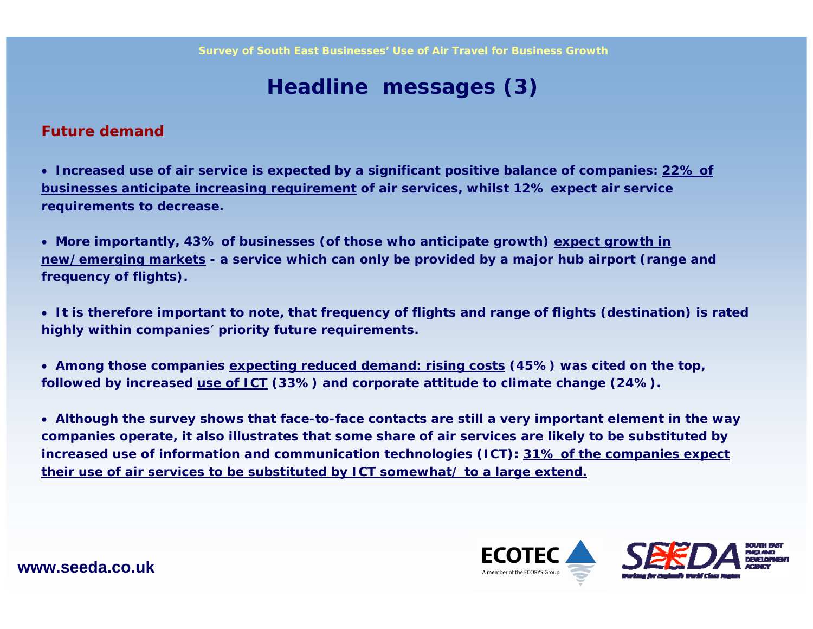### **Headline messages (3)**

#### **Future demand**

• **Increased use of air service is expected by a significant positive balance of companies: 22% of businesses anticipate increasing requirement of air services, whilst 12% expect air service requirements to decrease.**

• **More importantly, 43% of businesses (of those who anticipate growth) expect growth in new/emerging markets - a service which can only be provided by a major hub airport (range and frequency of flights).**

• **It is therefore important to note, that frequency of flights and range of flights (destination) is rated highly within companies´ priority future requirements.** 

• **Among those companies expecting reduced demand: rising costs (45%) was cited on the top, followed by increased use of ICT (33%) and corporate attitude to climate change (24%).**

• **Although the survey shows that face-to-face contacts are still a very important element in the way companies operate, it also illustrates that some share of air services are likely to be substituted by increased use of information and communication technologies (ICT): 31% of the companies expect their use of air services to be substituted by ICT somewhat/ to a large extend.**

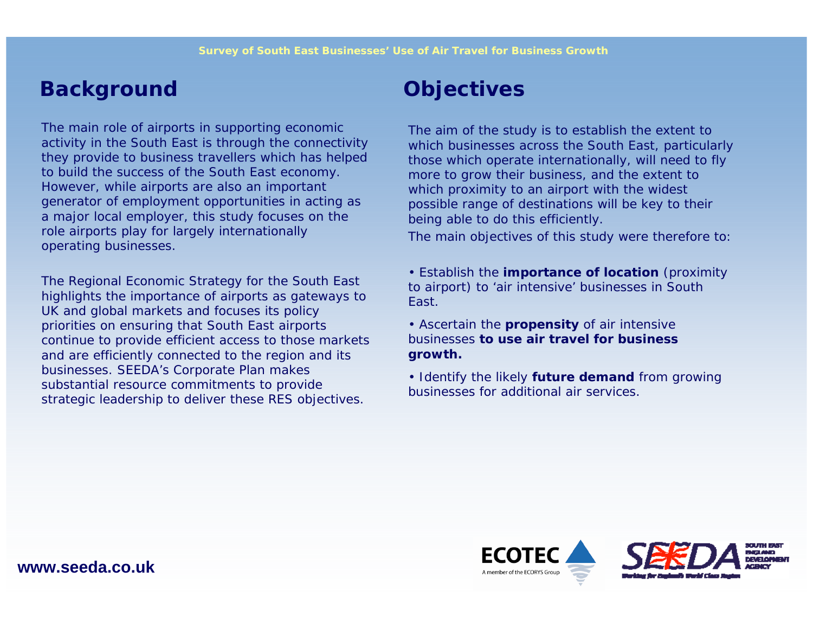### **Background Objectives**

The main role of airports in supporting economic activity in the South East is through the connectivity they provide to business travellers which has helped to build the success of the South East economy. However, while airports are also an important generator of employment opportunities in acting as a major local employer, this study focuses on the role airports play for largely internationally operating businesses.

The Regional Economic Strategy for the South East highlights the importance of airports as gateways to UK and global markets and focuses its policy priorities on ensuring that South East airports continue to provide efficient access to those markets and are efficiently connected to the region and its businesses. SEEDA's Corporate Plan makes substantial resource commitments to provide strategic leadership to deliver these RES objectives.

The aim of the study is to establish the extent to which businesses across the South East, particularly those which operate internationally, will need to fly more to grow their business, and the extent to which proximity to an airport with the widest possible range of destinations will be key to their being able to do this efficiently.

The main objectives of this study were therefore to:

- Establish the **importance of location** (proximity to airport) to 'air intensive' businesses in South East.
- Ascertain the **propensity** of air intensive businesses **to use air travel for business growth.**
- Identify the likely **future demand** from growing businesses for additional air services.

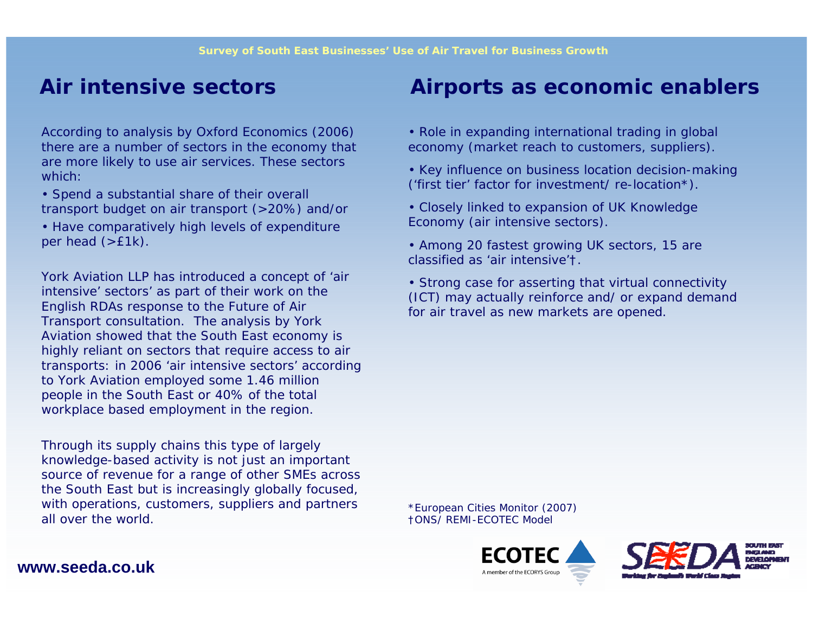According to analysis by Oxford Economics (2006) there are a number of sectors in the economy that are more likely to use air services. These sectors which:

- Spend a substantial share of their overall transport budget on air transport (>20%) and/or
- Have comparatively high levels of expenditure per head (>£1k).

York Aviation LLP has introduced a concept of 'air intensive' sectors' as part of their work on the English RDAs response to the Future of Air Transport consultation. The analysis by York Aviation showed that the South East economy is highly reliant on sectors that require access to air transports: in 2006 'air intensive sectors' according to York Aviation employed some 1.46 million people in the South East or 40% of the total workplace based employment in the region.

Through its supply chains this type of largely knowledge-based activity is not just an important source of revenue for a range of other SMEs across the South East but is increasingly globally focused, with operations, customers, suppliers and partners all over the world.

### **Air intensive sectors Airports as economic enablers**

- Role in expanding international trading in global economy (market reach to customers, suppliers).
- Key influence on business location decision-making ('first tier' factor for investment/ re-location\*).
- Closely linked to expansion of UK Knowledge Economy (air intensive sectors).
- Among 20 fastest growing UK sectors, 15 are classified as 'air intensive'†.
- Strong case for asserting that virtual connectivity (ICT) may actually reinforce and/ or expand demand for air travel as new markets are opened.

\*European Cities Monitor (2007) †ONS/ REMI-ECOTEC Model



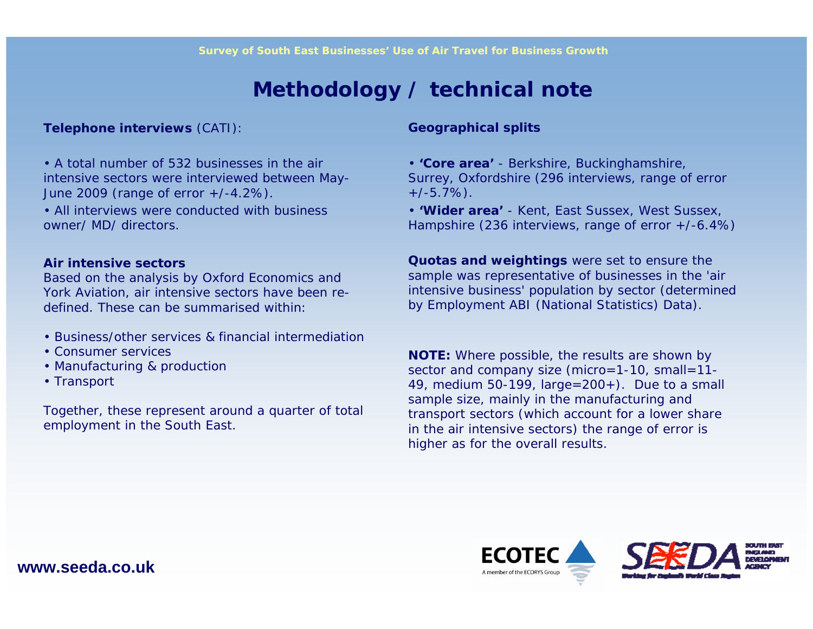### **Methodology / technical note**

**Telephone interviews** (CATI):

• A total number of 532 businesses in the air intensive sectors were interviewed between May-June 2009 (range of error +/-4.2%).

• All interviews were conducted with business owner/ MD/ directors.

#### **Air intensive sectors**

Based on the analysis by Oxford Economics and York Aviation, air intensive sectors have been redefined. These can be summarised within:

- Business/other services & financial intermediation
- Consumer services
- Manufacturing & production
- Transport

Together, these represent around a quarter of total employment in the South East.

#### **Geographical splits**

- **'Core area'**  Berkshire, Buckinghamshire, Surrey, Oxfordshire (296 interviews, range of error  $+/-5.7\%$ ).
- **'Wider area'**  Kent, East Sussex, West Sussex, Hampshire (236 interviews, range of error +/-6.4%)

**Quotas and weightings** were set to ensure the sample was representative of businesses in the 'air intensive business' population by sector (determined by Employment ABI (National Statistics) Data).

**NOTE:** Where possible, the results are shown by sector and company size (micro=1-10, small=11-49, medium 50-199, large=200+). Due to a small sample size, mainly in the manufacturing and transport sectors (which account for a lower share in the air intensive sectors) the range of error is higher as for the overall results.



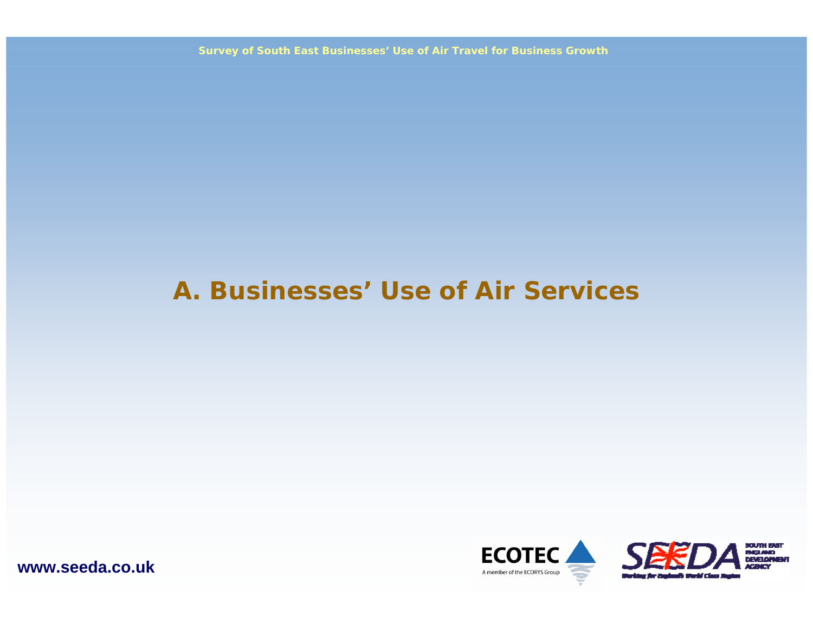**Survey of South East Businesses' Use of Air Travel for Business Growth**

## **A. Businesses' Use of Air Services**



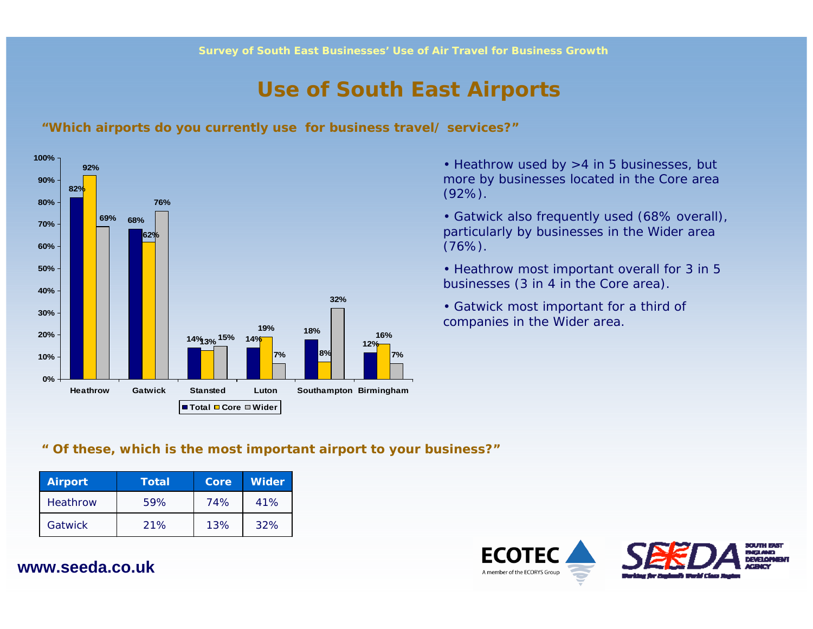### **Use of South East Airports**

**"Which airports do you currently use for business travel/ services?"**



• Heathrow used by >4 in 5 businesses, but more by businesses located in the Core area (92%).

• Gatwick also frequently used (68% overall), particularly by businesses in the Wider area  $(76%)$ .

• Heathrow most important overall for 3 in 5 businesses (3 in 4 in the Core area).

• Gatwick most important for a third of companies in the Wider area.

#### **" Of these, which is the most important airport to your business?"**

| <b>Airport</b> | Total | Core | <b>Wider</b> |
|----------------|-------|------|--------------|
| Heathrow       | 59%   | 74%  | 41%          |
| Gatwick        | 21%   | 13%  | 32%          |

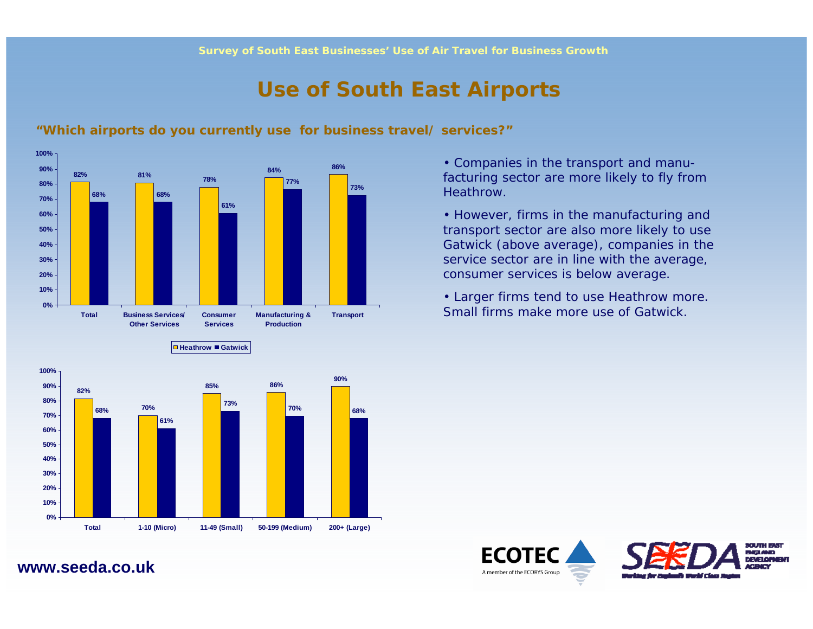### **Use of South East Airports**



**Heathrow Gatwick**

#### **"Which airports do you currently use for business travel/ services?"**

• Companies in the transport and manufacturing sector are more likely to fly from Heathrow.

• However, firms in the manufacturing and transport sector are also more likely to use Gatwick (above average), companies in the service sector are in line with the average, consumer services is below average.

• Larger firms tend to use Heathrow more. Small firms make more use of Gatwick.





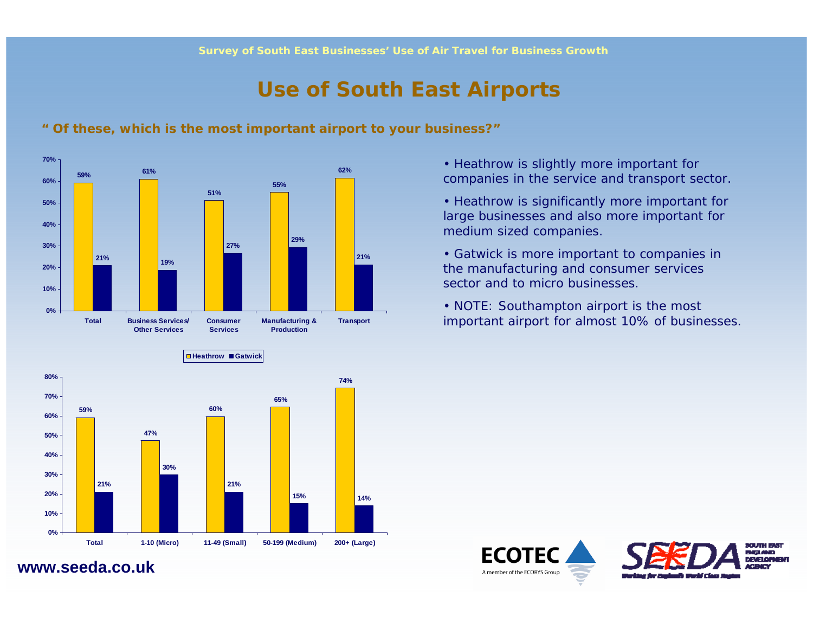### **Use of South East Airports**



#### **" Of these, which is the most important airport to your business?"**

- Heathrow is slightly more important for companies in the service and transport sector.
- Heathrow is significantly more important for large businesses and also more important for medium sized companies.
- Gatwick is more important to companies in the manufacturing and consumer services sector and to micro businesses.
- NOTE: Southampton airport is the most important airport for almost 10% of businesses.



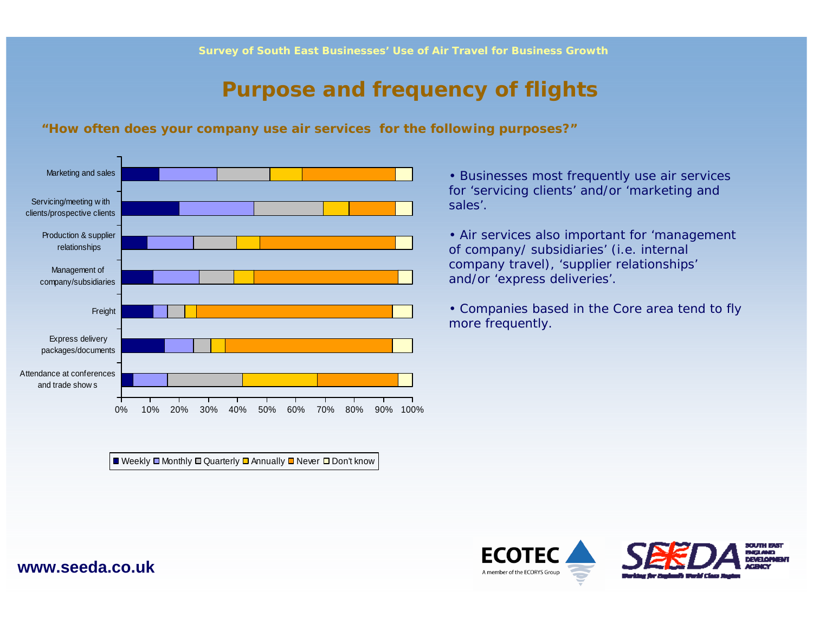### **Purpose and frequency of flights**

#### **"How often does your company use air services for the following purposes?"**



■ Weekly ■ Monthly ■ Quarterly ■ Annually ■ Never ■ Don't know

• Businesses most frequently use air services for 'servicing clients' and/or 'marketing and sales'.

• Air services also important for 'management of company/ subsidiaries' (i.e. internal company travel), 'supplier relationships' and/or 'express deliveries'.

• Companies based in the Core area tend to fly more frequently.

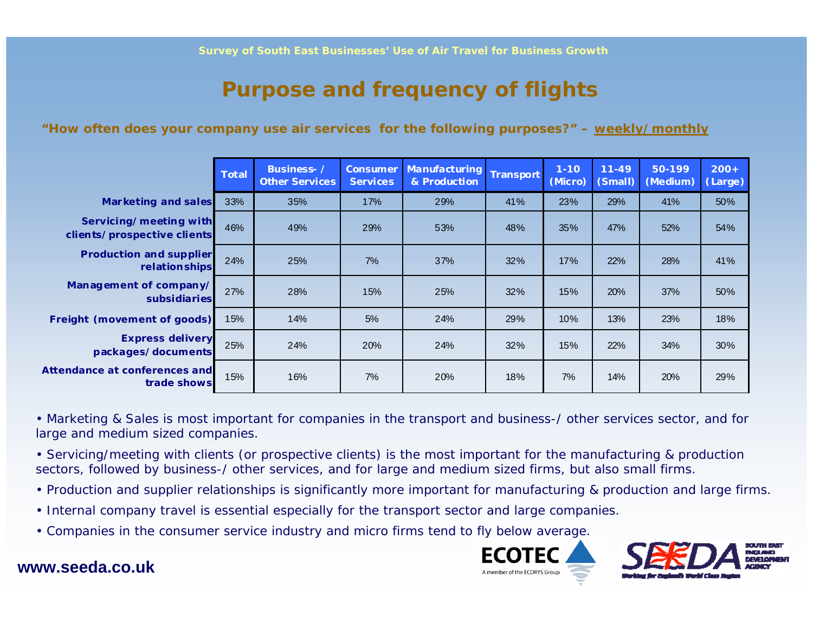### **Purpose and frequency of flights**

#### **"How often does your company use air services for the following purposes?" – weekly/monthly**

|                                                       | <b>Total</b> | Business- /<br><b>Other Services</b> | <b>Consumer</b><br><b>Services</b> | Manufacturing<br>& Production | Transport | $1 - 10$<br>(Micro) | $11 - 49$<br>(Small) | 50-199<br>(Medium) | $200+$<br>(Large) |
|-------------------------------------------------------|--------------|--------------------------------------|------------------------------------|-------------------------------|-----------|---------------------|----------------------|--------------------|-------------------|
| <b>Marketing and sales</b>                            | 33%          | 35%                                  | 17%                                | 29%                           | 41%       | 23%                 | 29%                  | 41%                | 50%               |
| Servicing/meeting with<br>clients/prospective clients | 46%          | 49%                                  | 29%                                | 53%                           | 48%       | 35%                 | 47%                  | 52%                | 54%               |
| <b>Production and supplier</b><br>relationships       | 24%          | 25%                                  | 7%                                 | 37%                           | 32%       | 17%                 | 22%                  | 28%                | 41%               |
| Management of company/<br>subsidiaries                | 27%          | 28%                                  | 15%                                | 25%                           | 32%       | 15%                 | 20%                  | 37%                | 50%               |
| Freight (movement of goods)                           | 15%          | 14%                                  | 5%                                 | 24%                           | 29%       | 10%                 | 13%                  | 23%                | 18%               |
| <b>Express delivery</b><br>packages/documents         | 25%          | 24%                                  | 20%                                | 24%                           | 32%       | 15%                 | 22%                  | 34%                | 30%               |
| Attendance at conferences and<br>trade shows          | 15%          | 16%                                  | 7%                                 | 20%                           | 18%       | 7%                  | 14%                  | 20%                | 29%               |

• Marketing & Sales is most important for companies in the transport and business-/ other services sector, and for large and medium sized companies.

• Servicing/meeting with clients (or prospective clients) is the most important for the manufacturing & production sectors, followed by business-/ other services, and for large and medium sized firms, but also small firms.

- Production and supplier relationships is significantly more important for manufacturing & production and large firms.
- Internal company travel is essential especially for the transport sector and large companies.
- Companies in the consumer service industry and micro firms tend to fly below average.



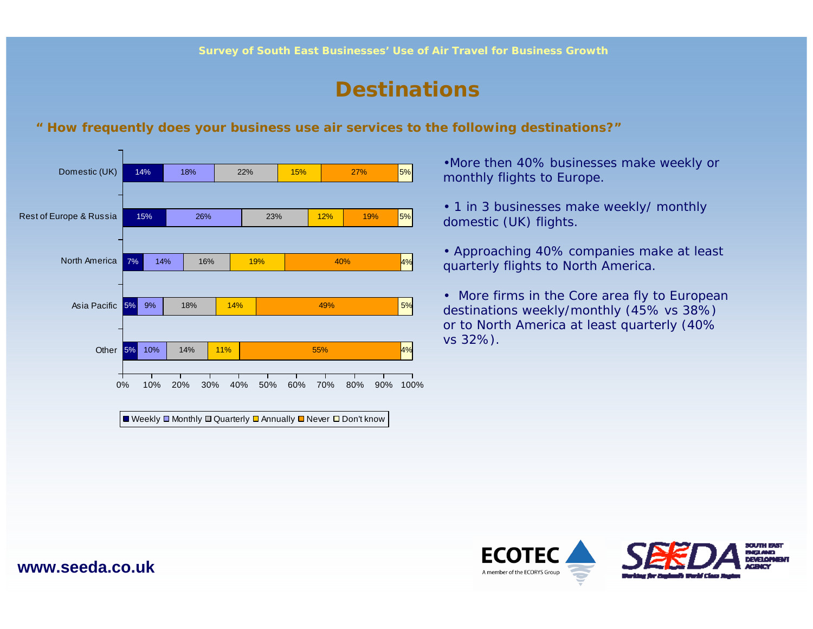### **Destinations**

#### **" How frequently does your business use air services to the following destinations?"**



•More then 40% businesses make weekly or monthly flights to Europe.

- 1 in 3 businesses make weekly/ monthly domestic (UK) flights.
- Approaching 40% companies make at least quarterly flights to North America.

• More firms in the Core area fly to European destinations weekly/monthly (45% vs 38%) or to North America at least quarterly (40% vs 32%).

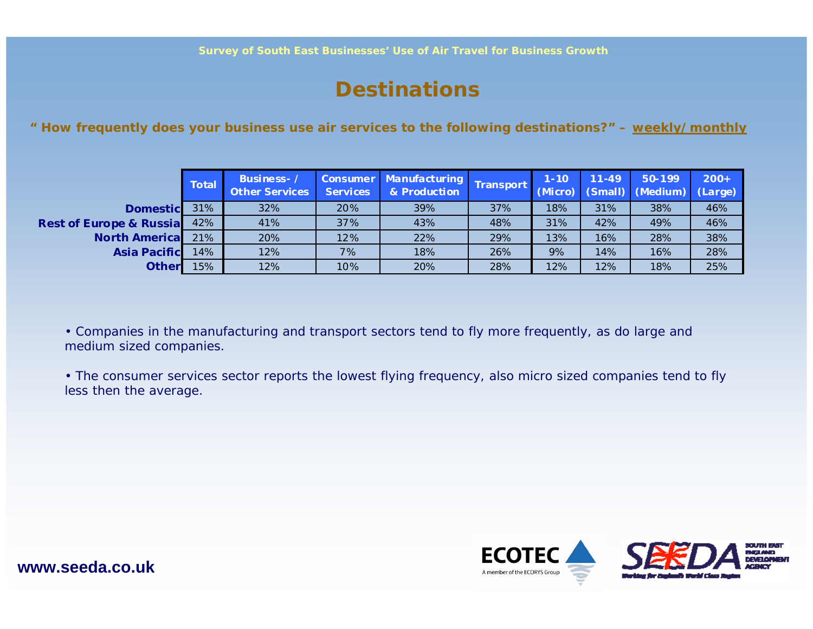### **Destinations**

**" How frequently does your business use air services to the following destinations?" – weekly/monthly**

|                                     | Total | Business-/<br><b>Other Services</b> | <b>Services</b> | <b>Consumer Manufacturing</b><br>& Production | <b>Transport</b> | $1 - 10$ | $11 - 49$ | 50-199<br>(Micro) (Small) (Medium) (Large) | $200+$ |
|-------------------------------------|-------|-------------------------------------|-----------------|-----------------------------------------------|------------------|----------|-----------|--------------------------------------------|--------|
| <b>Domestic</b>                     | 31%   | 32%                                 | 20%             | 39%                                           | 37%              | 18%      | 31%       | 38%                                        | 46%    |
| <b>Rest of Europe &amp; Russial</b> | 42%   | 41%                                 | 37%             | 43%                                           | 48%              | 31%      | 42%       | 49%                                        | 46%    |
| <b>North Americal</b>               | 21%   | 20%                                 | 12%             | 22%                                           | 29%              | 13%      | 16%       | 28%                                        | 38%    |
| <b>Asia Pacific</b>                 | 14%   | 12%                                 | 7%              | 18%                                           | 26%              | 9%       | 14%       | 16%                                        | 28%    |
| <b>Otherl</b>                       | 15%   | 12%                                 | 10%             | 20%                                           | 28%              | 12%      | 12%       | 18%                                        | 25%    |

• Companies in the manufacturing and transport sectors tend to fly more frequently, as do large and medium sized companies.

• The consumer services sector reports the lowest flying frequency, also micro sized companies tend to fly less then the average.

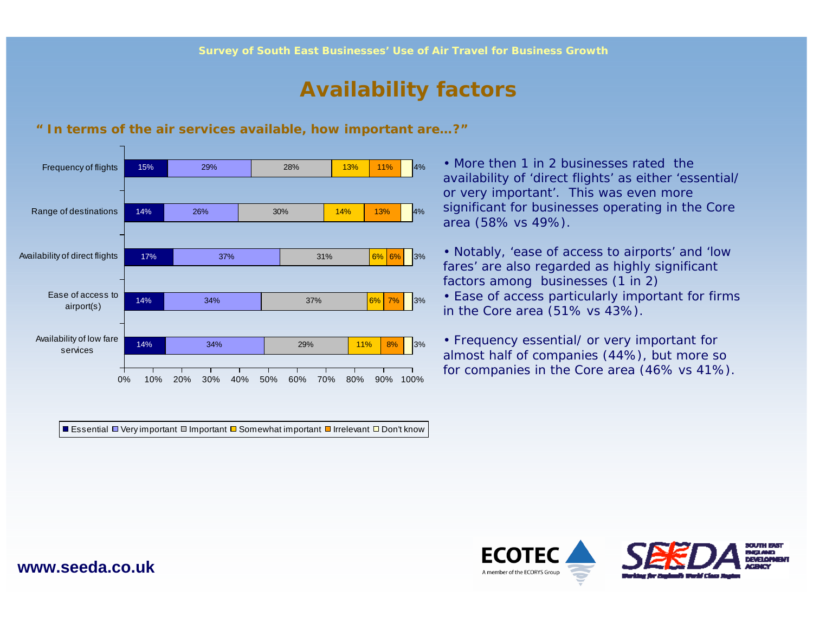### **Availability factors**



#### **" In terms of the air services available, how important are…?"**

Essential ロVery important ロ Important ロ Somewhat important ロ Irrelevant ロ Don't know

• More then 1 in 2 businesses rated the availability of 'direct flights' as either 'essential/ or very important'. This was even more significant for businesses operating in the Core area (58% vs 49%).

• Notably, 'ease of access to airports' and 'low fares' are also regarded as highly significant factors among businesses (1 in 2)

• Ease of access particularly important for firms in the Core area (51% vs 43%).

• Frequency essential/ or very important for almost half of companies (44%), but more so for companies in the Core area (46% vs 41%).

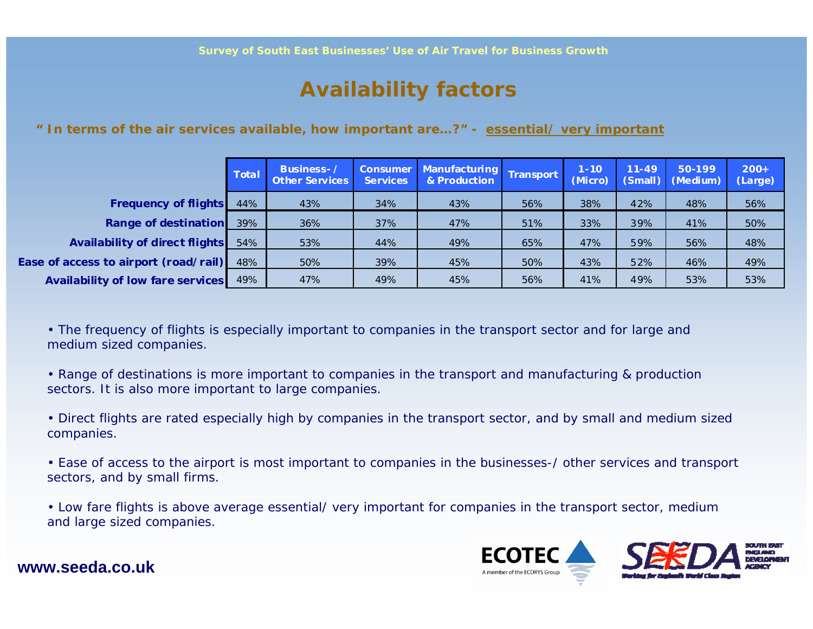### **Availability factors**

#### **" In terms of the air services available, how important are…?" - essential/ very important**

|                                          | <b>Total</b> | <b>Business-</b><br><b>Other Services</b> | <b>Consumer</b><br><b>Services</b> | <b>Manufacturing</b><br>& Production | Transport | $1 - 10$<br>(Micro) | $11 - 49$ | 50-199<br>(Small) (Medium) | $200+$<br>(Large) |
|------------------------------------------|--------------|-------------------------------------------|------------------------------------|--------------------------------------|-----------|---------------------|-----------|----------------------------|-------------------|
| <b>Frequency of flights</b>              | 44%          | 43%                                       | 34%                                | 43%                                  | 56%       | 38%                 | 42%       | 48%                        | 56%               |
| <b>Range of destination</b>              | 39%          | 36%                                       | 37%                                | 47%                                  | 51%       | 33%                 | 39%       | 41%                        | 50%               |
| <b>Availability of direct flights</b>    | 54%          | 53%                                       | 44%                                | 49%                                  | 65%       | 47%                 | 59%       | 56%                        | 48%               |
| Ease of access to airport (road/rail)    | 48%          | 50%                                       | 39%                                | 45%                                  | 50%       | 43%                 | 52%       | 46%                        | 49%               |
| <b>Availability of low fare services</b> | 49%          | 47%                                       | 49%                                | 45%                                  | 56%       | 41%                 | 49%       | 53%                        | 53%               |

• The frequency of flights is especially important to companies in the transport sector and for large and medium sized companies.

• Range of destinations is more important to companies in the transport and manufacturing & production sectors. It is also more important to large companies.

• Direct flights are rated especially high by companies in the transport sector, and by small and medium sized companies.

• Ease of access to the airport is most important to companies in the businesses-/ other services and transport sectors, and by small firms.

• Low fare flights is above average essential/ very important for companies in the transport sector, medium and large sized companies.

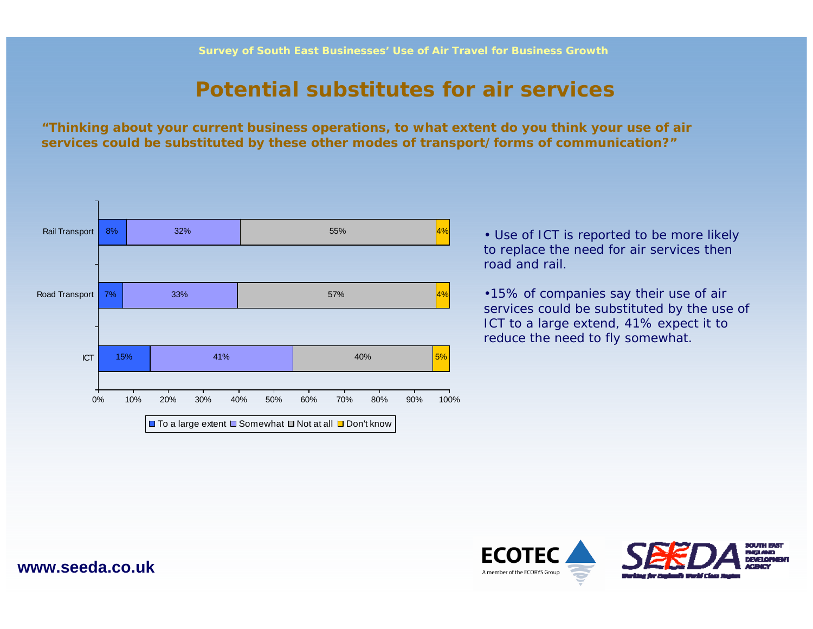### **Potential substitutes for air services**

**"Thinking about your current business operations, to what extent do you think your use of air services could be substituted by these other modes of transport/forms of communication?"**



• Use of ICT is reported to be more likely to replace the need for air services then road and rail.

•15% of companies say their use of air services could be substituted by the use of ICT to a large extend, 41% expect it to reduce the need to fly somewhat.

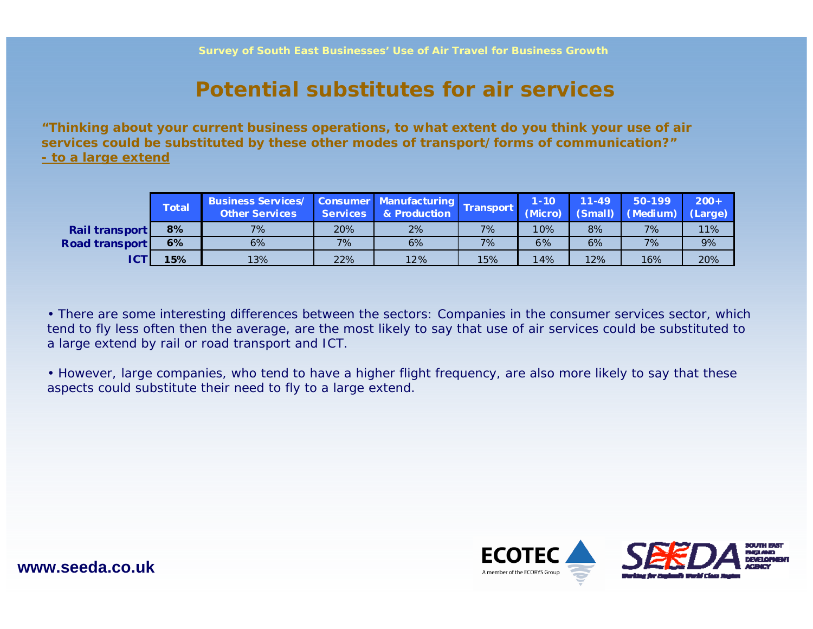### **Potential substitutes for air services**

**"Thinking about your current business operations, to what extent do you think your use of air services could be substituted by these other modes of transport/forms of communication?" - to a large extend**

|                       | <b>Total</b> | Business Services/ Consumer Manufacturing Transport<br><b>Other Services</b> |     | Services & Production |     | $1 - 10$ | $11 - 49$ | 50-199<br>(Micro) (Small) (Medium) (Large) | $200 +$ |
|-----------------------|--------------|------------------------------------------------------------------------------|-----|-----------------------|-----|----------|-----------|--------------------------------------------|---------|
| <b>Rail transport</b> | 8%           | 7%                                                                           | 20% | 2%                    | 7%  | 10%      | 8%        | 7%                                         | 11%     |
| <b>Road transport</b> | 6%           | 6%                                                                           | 7%  | 6%                    | 7%  | 6%       | 6%        | 7%                                         | 9%      |
| ICT                   | 15%          | 13%                                                                          | 22% | 12%                   | 15% | 14%      | 12%       | 16%                                        | 20%     |

• There are some interesting differences between the sectors: Companies in the consumer services sector, which tend to fly less often then the average, are the most likely to say that use of air services could be substituted to a large extend by rail or road transport and ICT.

• However, large companies, who tend to have a higher flight frequency, are also more likely to say that these aspects could substitute their need to fly to a large extend.

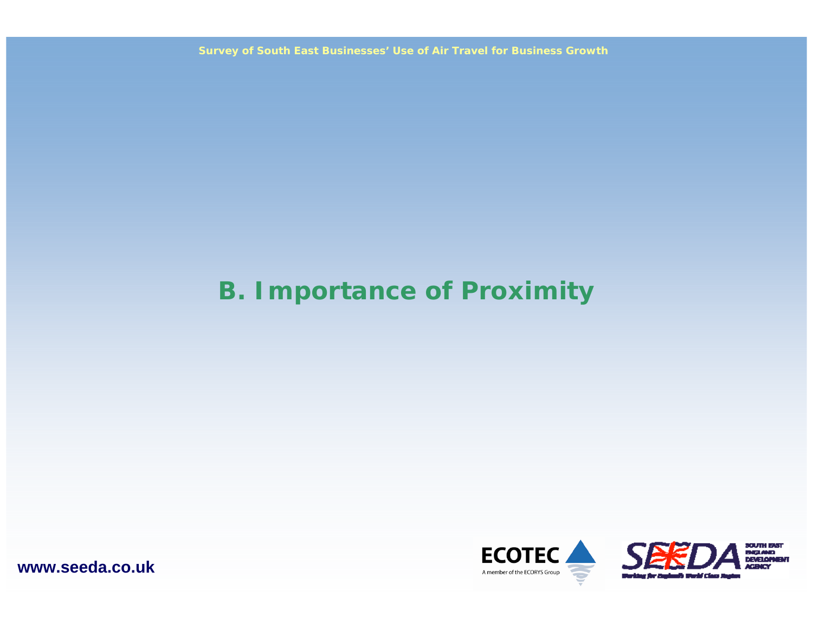**Survey of South East Businesses' Use of Air Travel for Business Growth**

## **B. Importance of Proximity**



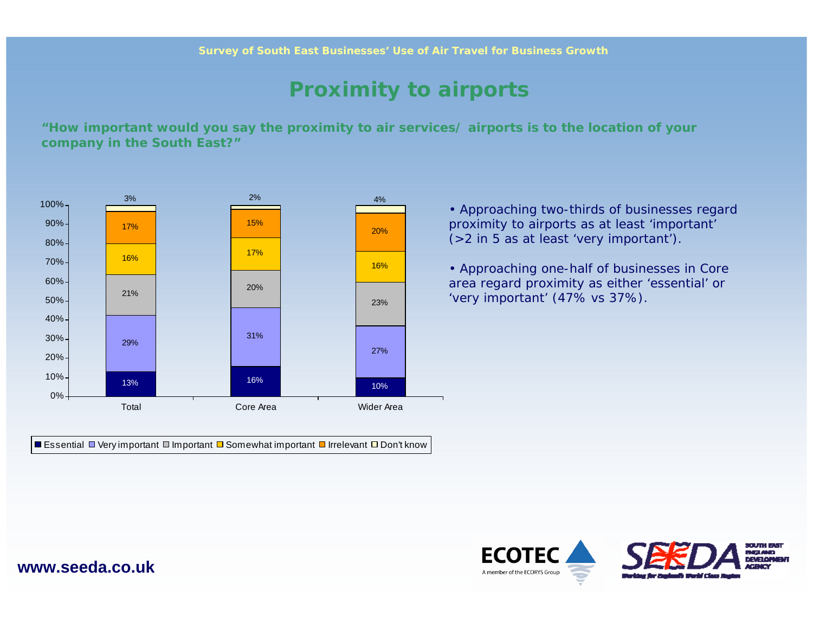### **Proximity to airports**

**"How important would you say the proximity to air services/ airports is to the location of your company in the South East?"**



Essential ロ Very important ロ Important ロ Somewhat important ロ Irrelevant ロ Don't know

• Approaching two-thirds of businesses regard proximity to airports as at least 'important' (>2 in 5 as at least 'very important').

• Approaching one-half of businesses in Core area regard proximity as either 'essential' or 'very important' (47% vs 37%).

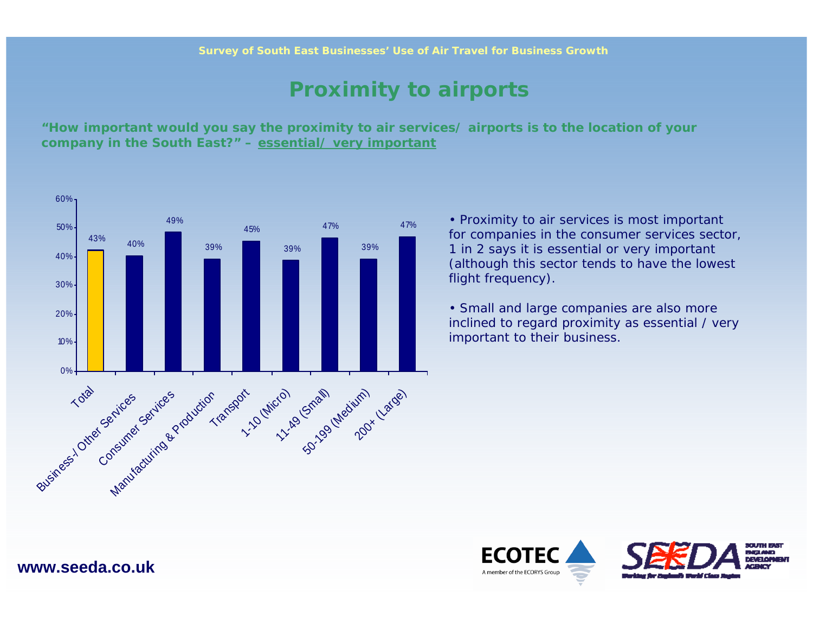### **Proximity to airports**

**"How important would you say the proximity to air services/ airports is to the location of your company in the South East?" – essential/ very important**



• Proximity to air services is most important for companies in the consumer services sector, 1 in 2 says it is essential or very important (although this sector tends to have the lowest flight frequency).

• Small and large companies are also more inclined to regard proximity as essential / very important to their business.

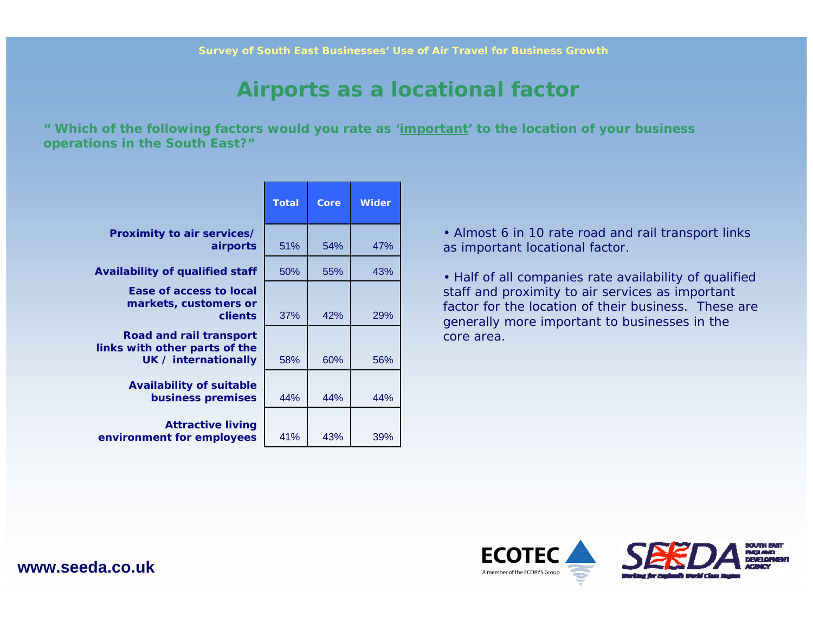### **Airports as a locational factor**

**" Which of the following factors would you rate as 'important' to the location of your business operations in the South East?"**

|                                                                                  | <b>Total</b> | Core | <b>Wider</b> |
|----------------------------------------------------------------------------------|--------------|------|--------------|
| Proximity to air services/<br>airports                                           | 51%          | 54%  | 47%          |
| <b>Availability of qualified staff</b>                                           | 50%          | 55%  | 43%          |
| Ease of access to local<br>markets, customers or<br>clients                      | 37%          | 42%  | <b>29%</b>   |
| Road and rail transport<br>links with other parts of the<br>UK / internationally | 58%          | 60%  | 56%          |
| <b>Availability of suitable</b><br>business premises                             | 44%          | 44%  | 44%          |
| <b>Attractive living</b><br>environment for employees                            | 41%          | 43%  | 39%          |

• Almost 6 in 10 rate road and rail transport links as important locational factor.

• Half of all companies rate availability of qualified staff and proximity to air services as important factor for the location of their business. These are generally more important to businesses in the core area.

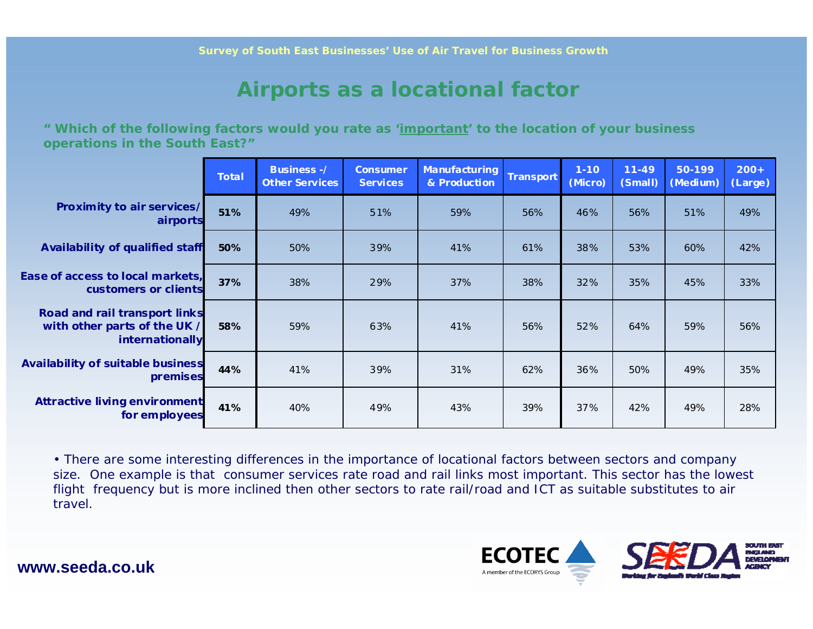### **Airports as a locational factor**

**" Which of the following factors would you rate as 'important' to the location of your business operations in the South East?"**

|                                                                                  | <b>Total</b> | <b>Business-/</b><br><b>Other Services</b> | <b>Consumer</b><br>Services | Manufacturing<br>& Production | Transport | $1 - 10$<br>(Micro) | $11 - 49$<br>(Small) | 50-199<br>(Medium) | $200+$<br>(Large) |
|----------------------------------------------------------------------------------|--------------|--------------------------------------------|-----------------------------|-------------------------------|-----------|---------------------|----------------------|--------------------|-------------------|
| Proximity to air services/<br>airports                                           | 51%          | 49%                                        | 51%                         | 59%                           | 56%       | 46%                 | 56%                  | 51%                | 49%               |
| Availability of qualified staff                                                  | 50%          | 50%                                        | 39%                         | 41%                           | 61%       | 38%                 | 53%                  | 60%                | 42%               |
| Ease of access to local markets,<br>customers or clients                         | 37%          | 38%                                        | 29%                         | 37%                           | 38%       | 32%                 | 35%                  | 45%                | 33%               |
| Road and rail transport links<br>with other parts of the UK /<br>internationally | 58%          | 59%                                        | 63%                         | 41%                           | 56%       | 52%                 | 64%                  | 59%                | 56%               |
| <b>Availability of suitable business</b><br>premises                             | 44%          | 41%                                        | 39%                         | 31%                           | 62%       | 36%                 | 50%                  | 49%                | 35%               |
| <b>Attractive living environment</b><br>for employees                            | 41%          | 40%                                        | 49%                         | 43%                           | 39%       | 37%                 | 42%                  | 49%                | 28%               |

• There are some interesting differences in the importance of locational factors between sectors and company size. One example is that consumer services rate road and rail links most important. This sector has the lowest flight frequency but is more inclined then other sectors to rate rail/road and ICT as suitable substitutes to air travel.

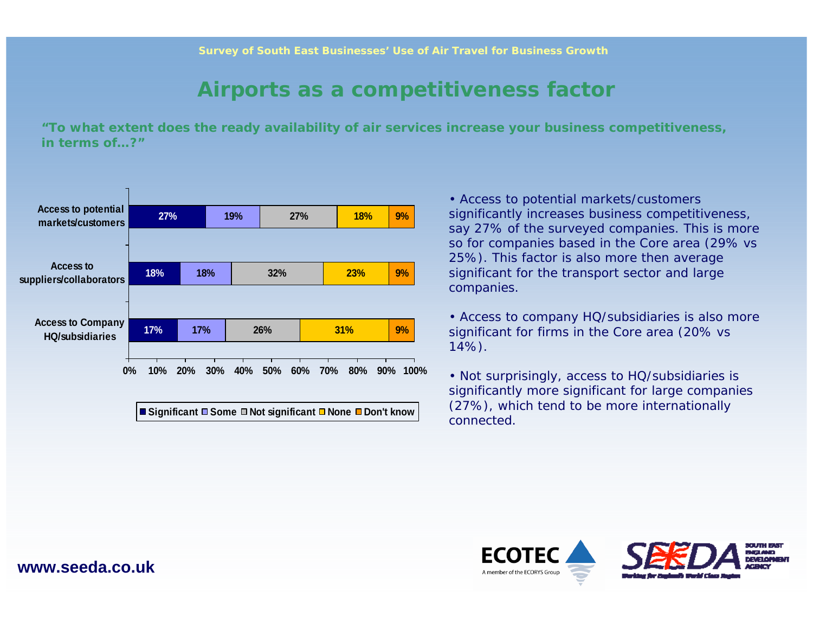### **Airports as a competitiveness factor**

**"To what extent does the ready availability of air services increase your business competitiveness, in terms of…?"**



• Access to potential markets/customers significantly increases business competitiveness, say 27% of the surveyed companies. This is more so for companies based in the Core area (29% vs 25%). This factor is also more then average significant for the transport sector and large companies.

• Access to company HQ/subsidiaries is also more significant for firms in the Core area (20% vs 14%).

• Not surprisingly, access to HQ/subsidiaries is significantly more significant for large companies (27%), which tend to be more internationally connected.

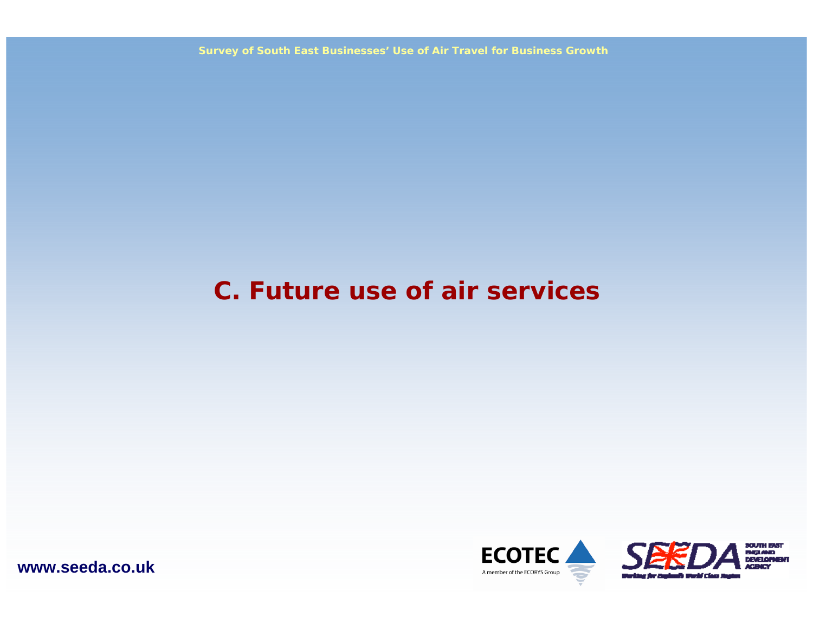**Survey of South East Businesses' Use of Air Travel for Business Growth**

## **C. Future use of air services**



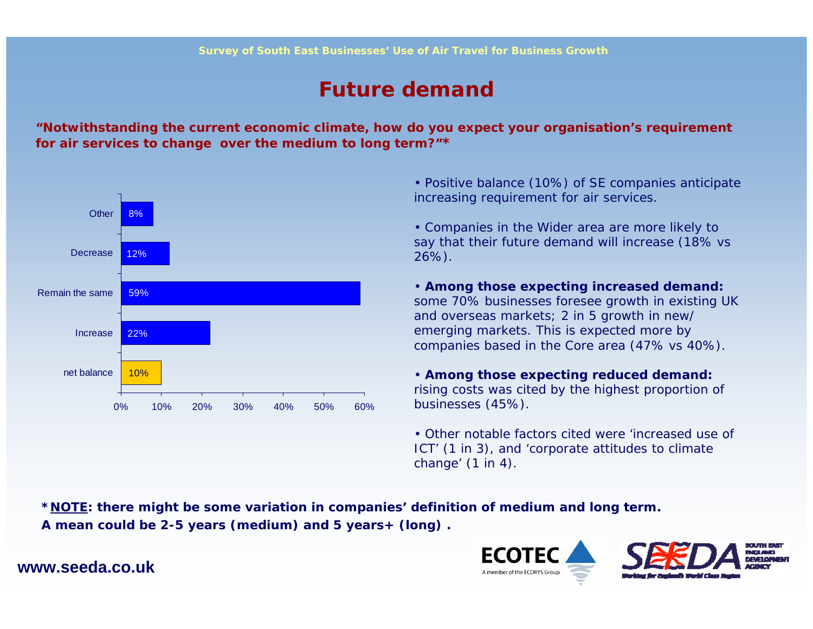### **Future demand**

**"Notwithstanding the current economic climate, how do you expect your organisation's requirement for air services to change over the medium to long term?"\***



• Positive balance (10%) of SE companies anticipate increasing requirement for air services.

• Companies in the Wider area are more likely to say that their future demand will increase (18% vs 26%).

• **Among those expecting increased demand:**  some 70% businesses foresee growth in existing UK and overseas markets; 2 in 5 growth in new/ emerging markets. This is expected more by companies based in the Core area (47% vs 40%).

• **Among those expecting reduced demand:**  rising costs was cited by the highest proportion of businesses (45%).

• Other notable factors cited were 'increased use of ICT' (1 in 3), and 'corporate attitudes to climate change' (1 in 4).

**\*NOTE: there might be some variation in companies' definition of medium and long term. A mean could be 2-5 years (medium) and 5 years+ (long) .**

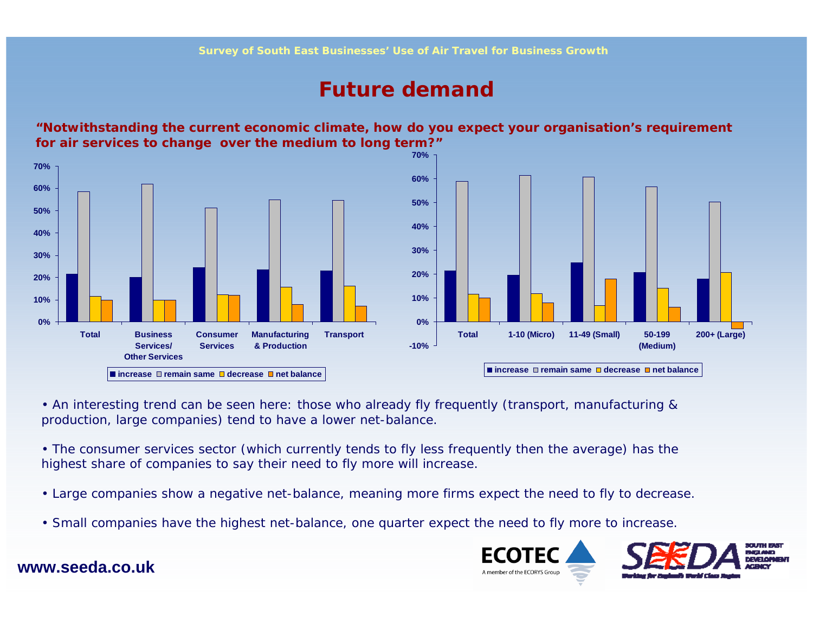### **Future demand**

**"Notwithstanding the current economic climate, how do you expect your organisation's requirement for air services to change over the medium to long term?"**



• An interesting trend can be seen here: those who already fly frequently (transport, manufacturing & production, large companies) tend to have a lower net-balance.

• The consumer services sector (which currently tends to fly less frequently then the average) has the highest share of companies to say their need to fly more will increase.

- Large companies show a negative net-balance, meaning more firms expect the need to fly to decrease.
- Small companies have the highest net-balance, one quarter expect the need to fly more to increase.

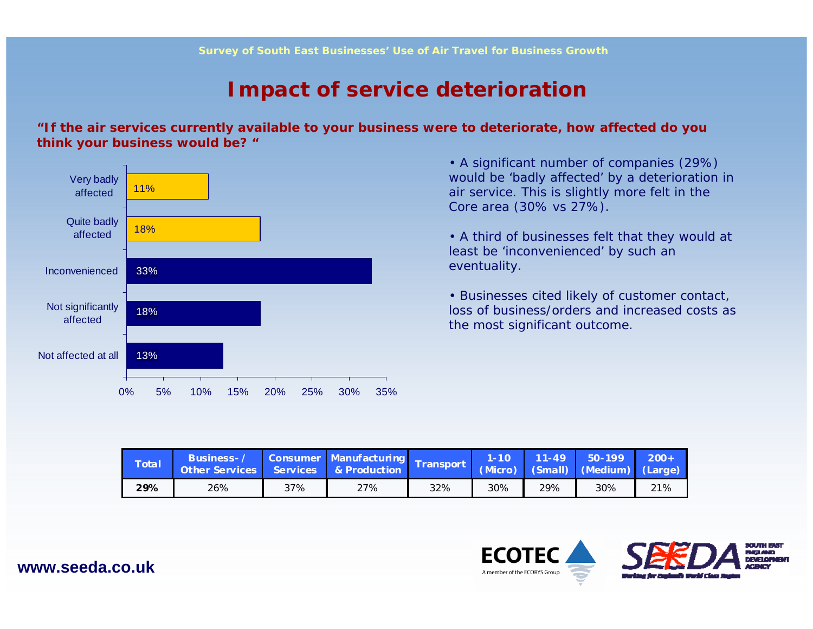### **Impact of service deterioration**

**"If the air services currently available to your business were to deteriorate, how affected do you think your business would be? "**



• A significant number of companies (29%) would be 'badly affected' by a deterioration in air service. This is slightly more felt in the Core area (30% vs 27%).

• A third of businesses felt that they would at least be 'inconvenienced' by such an eventuality.

• Businesses cited likely of customer contact, loss of business/orders and increased costs as the most significant outcome.

| <b>Total</b> | Business-/<br>Other Services Services & Production |     | Consumer Manufacturing Transport |     | M-10\ |     | $11-49$ 50-199<br>(Micro) (Small) (Medium) (Large) | $200+$ |
|--------------|----------------------------------------------------|-----|----------------------------------|-----|-------|-----|----------------------------------------------------|--------|
| 29%          | 26%                                                | 37% | 27%                              | 32% | 30%   | 29% | 30%                                                | 21%    |



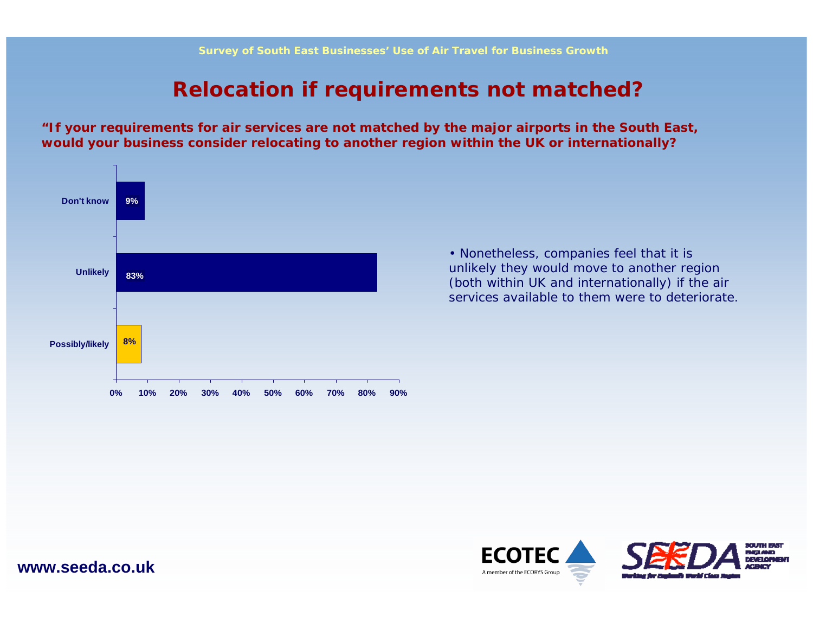### **Relocation if requirements not matched?**

**"If your requirements for air services are not matched by the major airports in the South East, would your business consider relocating to another region within the UK or internationally?**



• Nonetheless, companies feel that it is unlikely they would move to another region (both within UK and internationally) if the air services available to them were to deteriorate.

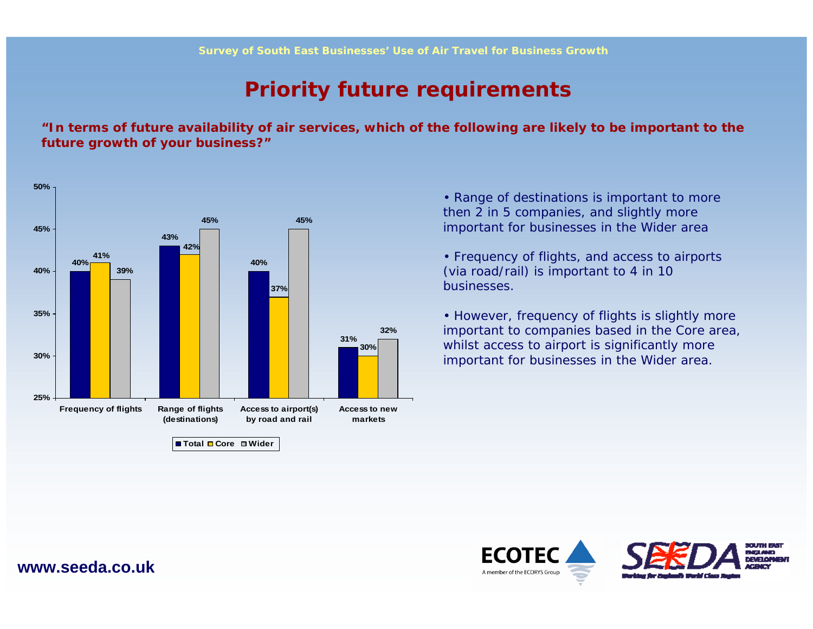### **Priority future requirements**

**"In terms of future availability of air services, which of the following are likely to be important to the future growth of your business?"**



• Range of destinations is important to more then 2 in 5 companies, and slightly more important for businesses in the Wider area

• Frequency of flights, and access to airports (via road/rail) is important to 4 in 10 businesses.

• However, frequency of flights is slightly more important to companies based in the Core area, whilst access to airport is significantly more important for businesses in the Wider area.

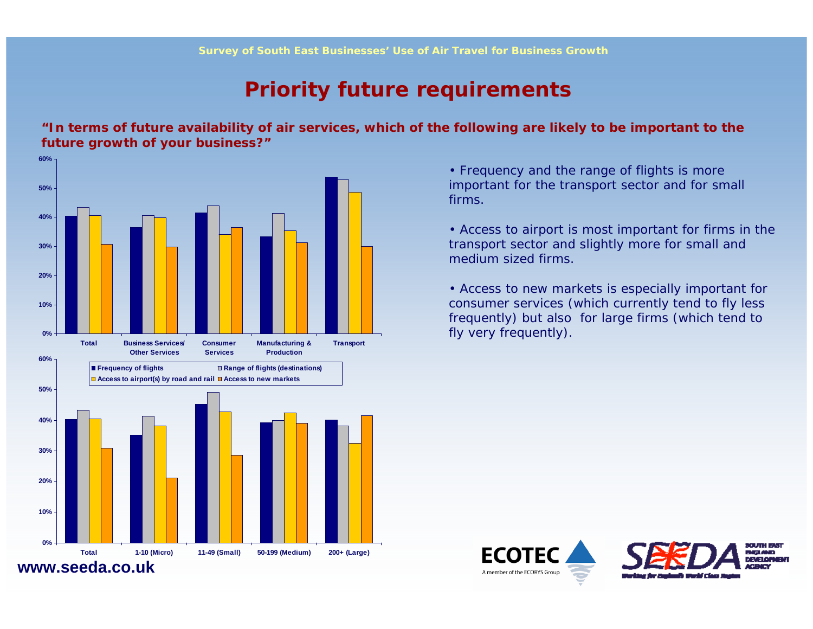### **Priority future requirements**

**"In terms of future availability of air services, which of the following are likely to be important to the future growth of your business?"**



• Frequency and the range of flights is more important for the transport sector and for small firms.

• Access to airport is most important for firms in the transport sector and slightly more for small and medium sized firms.

• Access to new markets is especially important for consumer services (which currently tend to fly less frequently) but also for large firms (which tend to fly very frequently).



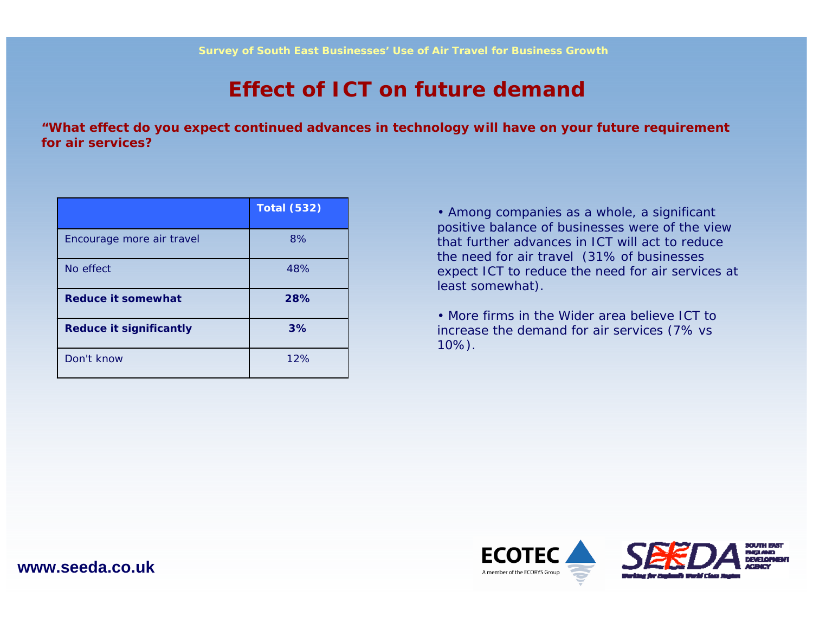### **Effect of ICT on future demand**

**"What effect do you expect continued advances in technology will have on your future requirement for air services?**

|                                | <b>Total (532)</b> |
|--------------------------------|--------------------|
| Encourage more air travel      | 8%                 |
| No effect                      | 48%                |
| <b>Reduce it somewhat</b>      | 28%                |
| <b>Reduce it significantly</b> | 3%                 |
| Don't know                     | 12%                |

• Among companies as a whole, a significant positive balance of businesses were of the view that further advances in ICT will act to reduce the need for air travel (31% of businesses expect ICT to reduce the need for air services at least somewhat).

• More firms in the Wider area believe ICT to increase the demand for air services (7% vs 10%).



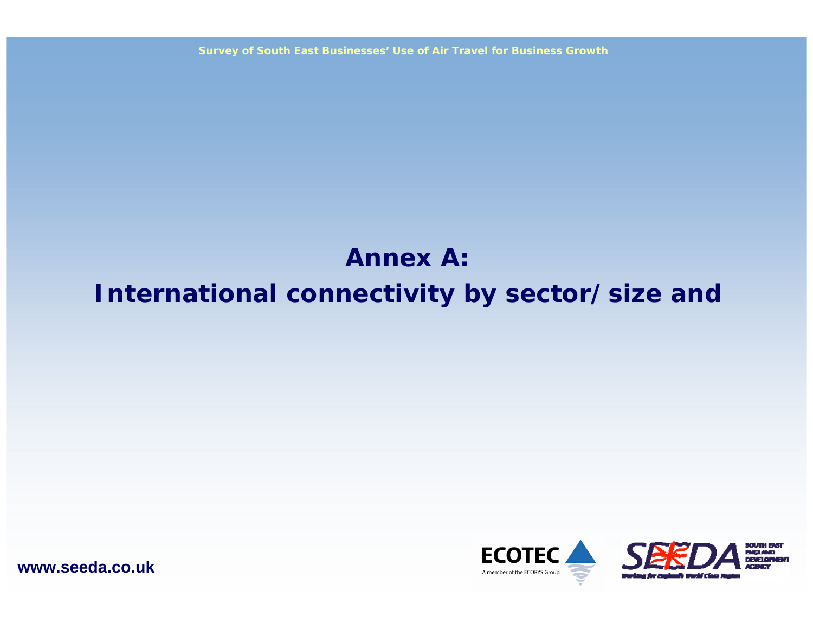**Survey of South East Businesses' Use of Air Travel for Business Growth**

# **Annex A:International connectivity by sector/size and**



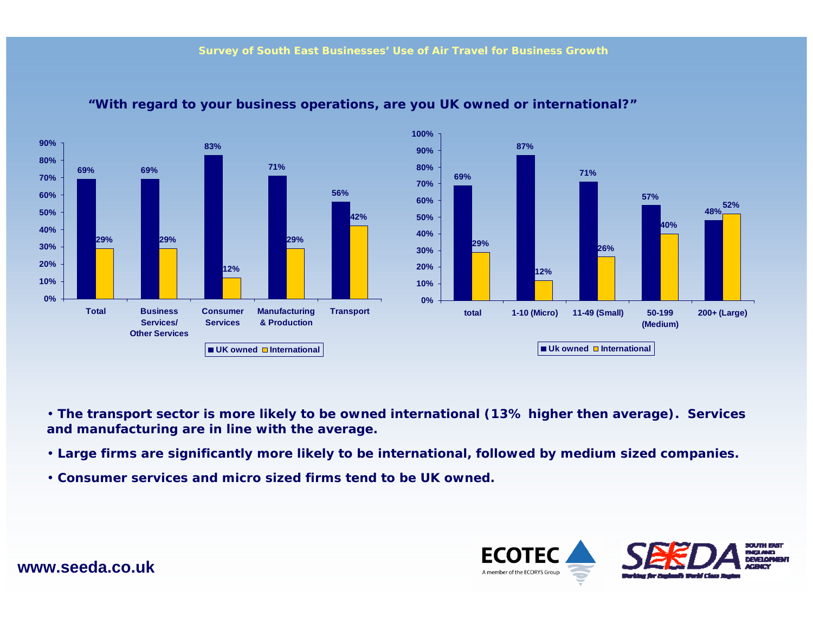

#### **"With regard to your business operations, are you UK owned or international?"**

• **The transport sector is more likely to be owned international (13% higher then average). Services and manufacturing are in line with the average.**

- **Large firms are significantly more likely to be international, followed by medium sized companies.**
- **Consumer services and micro sized firms tend to be UK owned.**

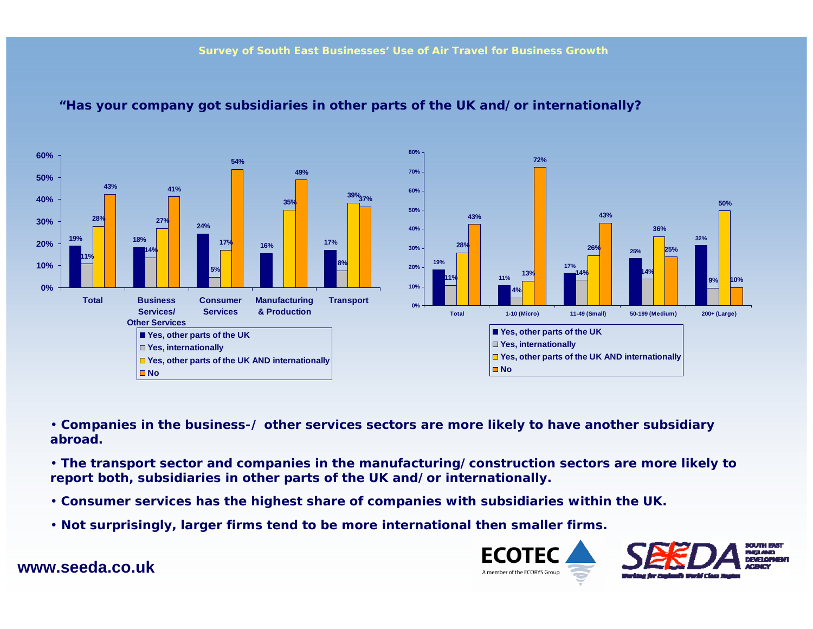

#### **"Has your company got subsidiaries in other parts of the UK and/or internationally?**

• **Companies in the business-/ other services sectors are more likely to have another subsidiary abroad.** 

• **The transport sector and companies in the manufacturing/construction sectors are more likely to report both, subsidiaries in other parts of the UK and/or internationally.**

- **Consumer services has the highest share of companies with subsidiaries within the UK.**
- **Not surprisingly, larger firms tend to be more international then smaller firms.**



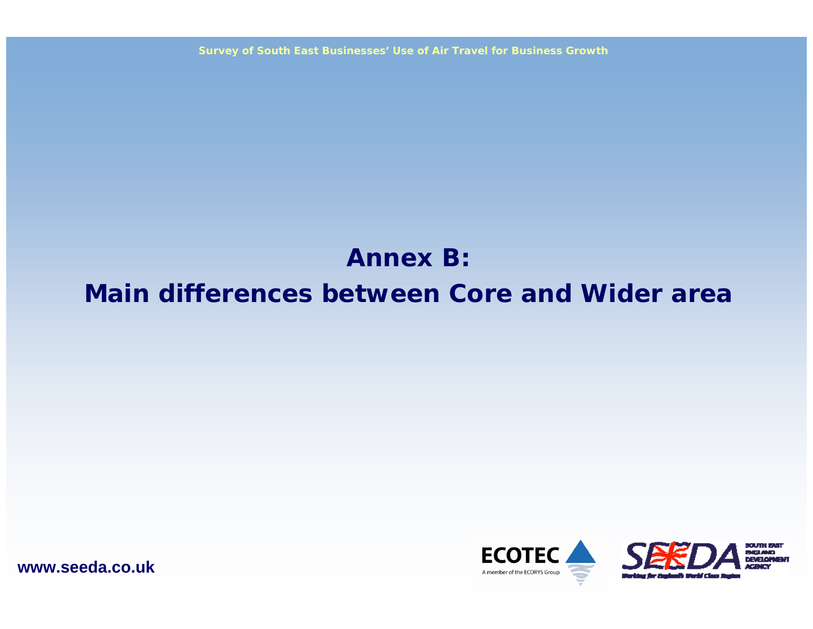**Survey of South East Businesses' Use of Air Travel for Business Growth**

# **Annex B:Main differences between Core and Wider area**



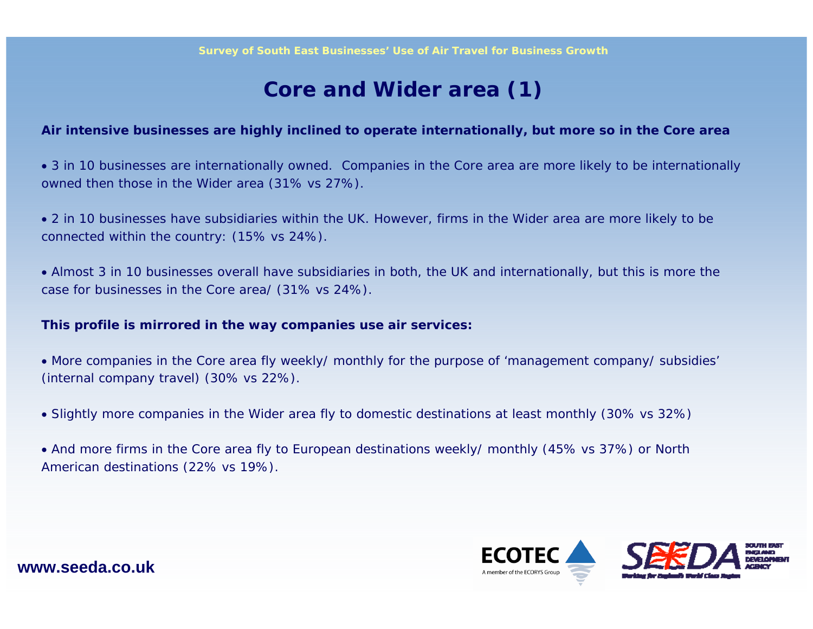### **Core and Wider area (1)**

#### **Air intensive businesses are highly inclined to operate internationally, but more so in the Core area**

• 3 in 10 businesses are internationally owned. Companies in the Core area are more likely to be internationally owned then those in the Wider area (31% vs 27%).

• 2 in 10 businesses have subsidiaries within the UK. However, firms in the Wider area are more likely to be connected within the country: (15% vs 24%).

• Almost 3 in 10 businesses overall have subsidiaries in both, the UK and internationally, but this is more the case for businesses in the Core area/ (31% vs 24%).

#### **This profile is mirrored in the way companies use air services:**

• More companies in the Core area fly weekly/ monthly for the purpose of 'management company/ subsidies' (internal company travel) (30% vs 22%).

- Slightly more companies in the Wider area fly to domestic destinations at least monthly (30% vs 32%)
- And more firms in the Core area fly to European destinations weekly/ monthly (45% vs 37%) or North American destinations (22% vs 19%).

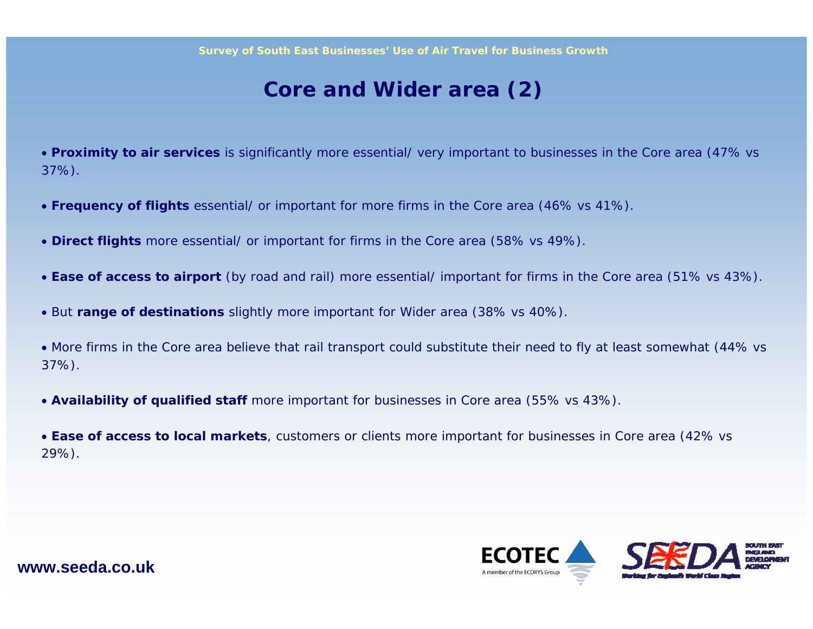### **Core and Wider area (2)**

• **Proximity to air services** is significantly more essential/ very important to businesses in the Core area (47% vs 37%).

- **Frequency of flights** essential/ or important for more firms in the Core area (46% vs 41%).
- **Direct flights** more essential/ or important for firms in the Core area (58% vs 49%).
- **Ease of access to airport** (by road and rail) more essential/ important for firms in the Core area (51% vs 43%).
- But **range of destinations** slightly more important for Wider area (38% vs 40%).
- More firms in the Core area believe that rail transport could substitute their need to fly at least somewhat (44% vs 37%).
- **Availability of qualified staff** more important for businesses in Core area (55% vs 43%).
- **Ease of access to local markets**, customers or clients more important for businesses in Core area (42% vs 29%).